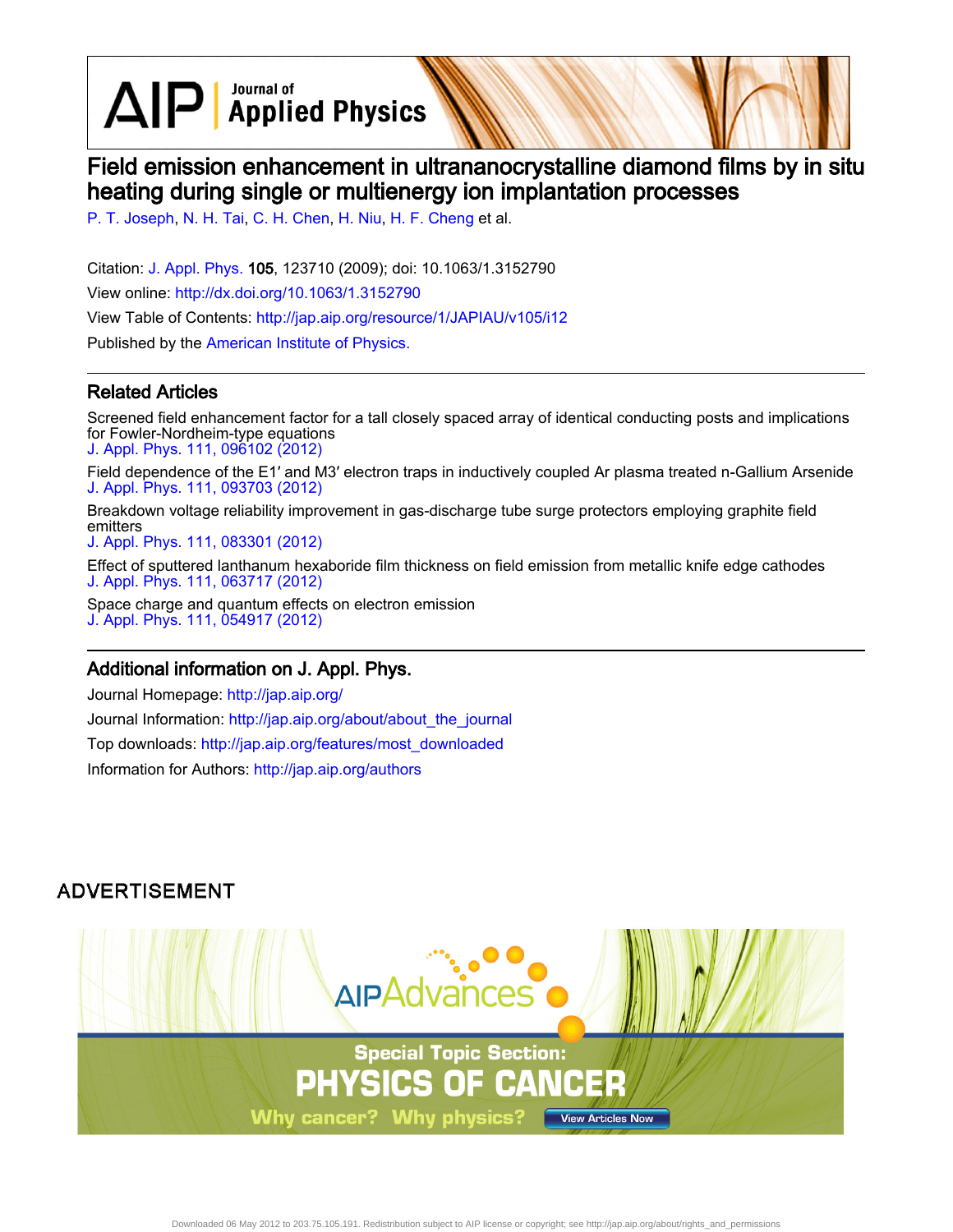$\Delta$ I $\Box$  Applied Physics

# Field emission enhancement in ultrananocrystalline diamond films by in situ heating during single or multienergy ion implantation processes

[P. T. Joseph](http://jap.aip.org/search?sortby=newestdate&q=&searchzone=2&searchtype=searchin&faceted=faceted&key=AIP_ALL&possible1=P. T. Joseph&possible1zone=author&alias=&displayid=AIP&ver=pdfcov), [N. H. Tai](http://jap.aip.org/search?sortby=newestdate&q=&searchzone=2&searchtype=searchin&faceted=faceted&key=AIP_ALL&possible1=N. H. Tai&possible1zone=author&alias=&displayid=AIP&ver=pdfcov), [C. H. Chen,](http://jap.aip.org/search?sortby=newestdate&q=&searchzone=2&searchtype=searchin&faceted=faceted&key=AIP_ALL&possible1=C. H. Chen&possible1zone=author&alias=&displayid=AIP&ver=pdfcov) [H. Niu](http://jap.aip.org/search?sortby=newestdate&q=&searchzone=2&searchtype=searchin&faceted=faceted&key=AIP_ALL&possible1=H. Niu&possible1zone=author&alias=&displayid=AIP&ver=pdfcov), [H. F. Cheng](http://jap.aip.org/search?sortby=newestdate&q=&searchzone=2&searchtype=searchin&faceted=faceted&key=AIP_ALL&possible1=H. F. Cheng&possible1zone=author&alias=&displayid=AIP&ver=pdfcov) et al.

Citation: [J. Appl. Phys.](http://jap.aip.org/?ver=pdfcov) 105, 123710 (2009); doi: 10.1063/1.3152790 View online: [http://dx.doi.org/10.1063/1.3152790](http://link.aip.org/link/doi/10.1063/1.3152790?ver=pdfcov) View Table of Contents: [http://jap.aip.org/resource/1/JAPIAU/v105/i12](http://jap.aip.org/resource/1/JAPIAU/v105/i12?ver=pdfcov) Published by the [American Institute of Physics.](http://www.aip.org/?ver=pdfcov)

### Related Articles

Screened field enhancement factor for a tall closely spaced array of identical conducting posts and implications for Fowler-Nordheim-type equations [J. Appl. Phys. 111, 096102 \(2012\)](http://link.aip.org/link/doi/10.1063/1.4711091?ver=pdfcov)

Field dependence of the E1′ and M3′ electron traps in inductively coupled Ar plasma treated n-Gallium Arsenide [J. Appl. Phys. 111, 093703 \(2012\)](http://link.aip.org/link/doi/10.1063/1.4709390?ver=pdfcov)

Breakdown voltage reliability improvement in gas-discharge tube surge protectors employing graphite field emitters

[J. Appl. Phys. 111, 083301 \(2012\)](http://link.aip.org/link/doi/10.1063/1.4704699?ver=pdfcov)

Effect of sputtered lanthanum hexaboride film thickness on field emission from metallic knife edge cathodes [J. Appl. Phys. 111, 063717 \(2012\)](http://link.aip.org/link/doi/10.1063/1.3698281?ver=pdfcov)

Space charge and quantum effects on electron emission [J. Appl. Phys. 111, 054917 \(2012\)](http://link.aip.org/link/doi/10.1063/1.3692577?ver=pdfcov)

### Additional information on J. Appl. Phys.

Journal Homepage: [http://jap.aip.org/](http://jap.aip.org/?ver=pdfcov) Journal Information: [http://jap.aip.org/about/about\\_the\\_journal](http://jap.aip.org/about/about_the_journal?ver=pdfcov) Top downloads: [http://jap.aip.org/features/most\\_downloaded](http://jap.aip.org/features/most_downloaded?ver=pdfcov) Information for Authors: [http://jap.aip.org/authors](http://jap.aip.org/authors?ver=pdfcov)

## **ADVERTISEMENT**

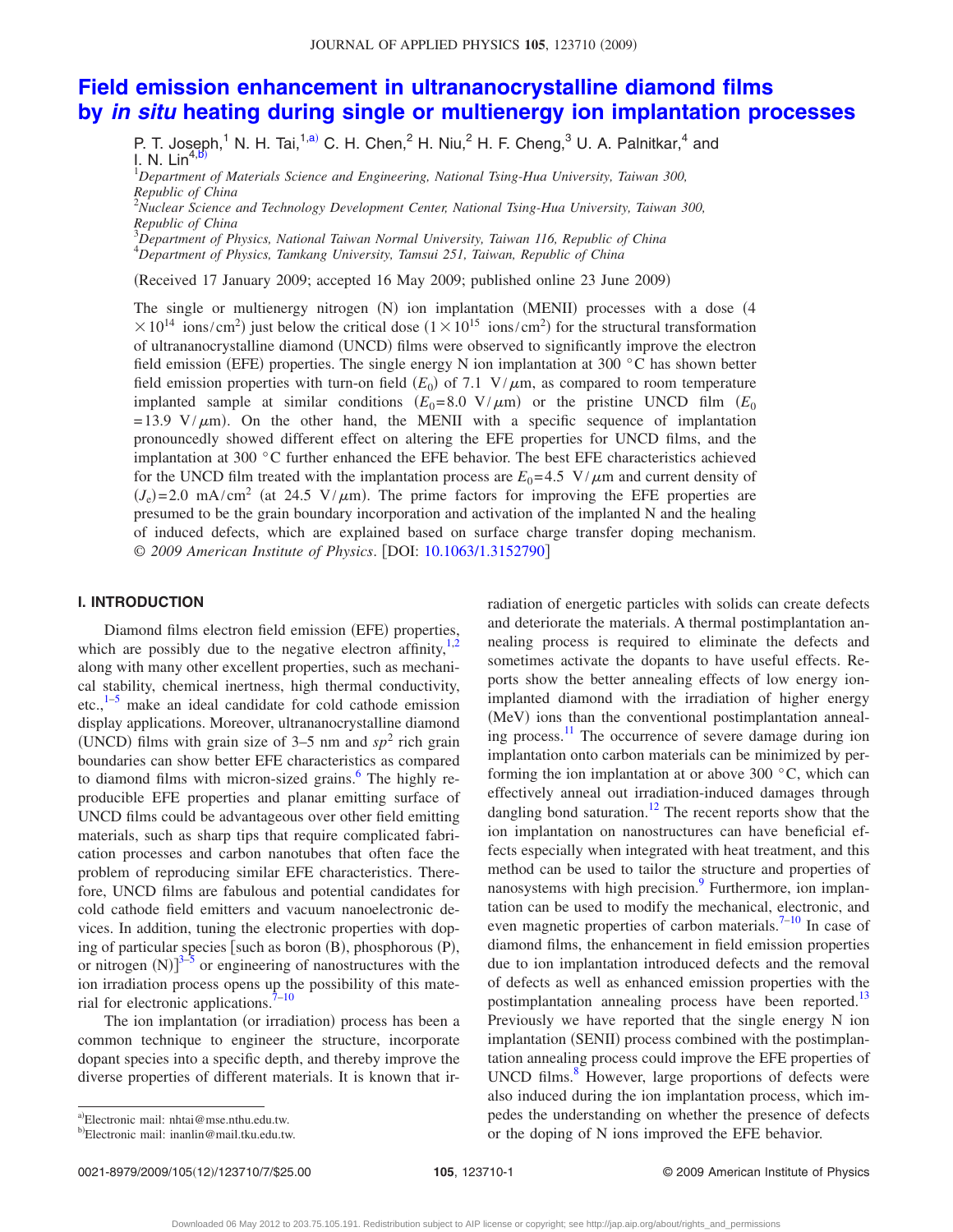### **[Field emission enhancement in ultrananocrystalline diamond films](http://dx.doi.org/10.1063/1.3152790) by** *in situ* **[heating during single or multienergy ion implantation processes](http://dx.doi.org/10.1063/1.3152790)**

P. T. Joseph,<sup>1</sup> N. H. Tai,<sup>1[,a](#page-1-0))</sup> C. H. Chen,<sup>2</sup> H. Niu,<sup>2</sup> H. F. Cheng,<sup>3</sup> U. A. Palnitkar,<sup>4</sup> and I. N. Lin<sup>4</sup>

1 *Department of Materials Science and Engineering, National Tsing-Hua University, Taiwan 300, Republic of China* 2 *Nuclear Science and Technology Development Center, National Tsing-Hua University, Taiwan 300,*

*Republic of China*

3 *Department of Physics, National Taiwan Normal University, Taiwan 116, Republic of China*

4 *Department of Physics, Tamkang University, Tamsui 251, Taiwan, Republic of China*

(Received 17 January 2009; accepted 16 May 2009; published online 23 June 2009)

The single or multienergy nitrogen (N) ion implantation (MENII) processes with a dose (4  $\times 10^{14}$  ions/cm<sup>2</sup>) just below the critical dose ( $1 \times 10^{15}$  ions/cm<sup>2</sup>) for the structural transformation of ultrananocrystalline diamond (UNCD) films were observed to significantly improve the electron field emission (EFE) properties. The single energy N ion implantation at 300 °C has shown better field emission properties with turn-on field  $(E_0)$  of 7.1 V/ $\mu$ m, as compared to room temperature implanted sample at similar conditions  $(E_0=8.0 \text{ V}/\mu\text{m})$  or the pristine UNCD film  $(E_0$  $= 13.9 \text{ V}/\mu\text{m}$ ). On the other hand, the MENII with a specific sequence of implantation pronouncedly showed different effect on altering the EFE properties for UNCD films, and the implantation at 300 °C further enhanced the EFE behavior. The best EFE characteristics achieved for the UNCD film treated with the implantation process are  $E_0 = 4.5 \text{ V}/\mu \text{m}$  and current density of  $(J_e)$ =2.0 mA/cm<sup>2</sup> (at 24.5 V/ $\mu$ m). The prime factors for improving the EFE properties are presumed to be the grain boundary incorporation and activation of the implanted N and the healing of induced defects, which are explained based on surface charge transfer doping mechanism. © *2009 American Institute of Physics*. DOI: [10.1063/1.3152790](http://dx.doi.org/10.1063/1.3152790)

#### **I. INTRODUCTION**

Diamond films electron field emission (EFE) properties, which are possibly due to the negative electron affinity, $1,2$  $1,2$ along with many other excellent properties, such as mechanical stability, chemical inertness, high thermal conductivity, etc., $1-5$  $1-5$  make an ideal candidate for cold cathode emission display applications. Moreover, ultrananocrystalline diamond (UNCD) films with grain size of 3–5 nm and  $sp<sup>2</sup>$  rich grain boundaries can show better EFE characteristics as compared to diamond films with micron-sized grains. $6$  The highly reproducible EFE properties and planar emitting surface of UNCD films could be advantageous over other field emitting materials, such as sharp tips that require complicated fabrication processes and carbon nanotubes that often face the problem of reproducing similar EFE characteristics. Therefore, UNCD films are fabulous and potential candidates for cold cathode field emitters and vacuum nanoelectronic devices. In addition, tuning the electronic properties with doping of particular species [such as boron (B), phosphorous (P), or nitrogen  $(N)$ <sup>[3](#page-6-4)[–5](#page-6-2)</sup> or engineering of nanostructures with the ion irradiation process opens up the possibility of this mate-rial for electronic applications.<sup>7–[10](#page-6-6)</sup>

The ion implantation (or irradiation) process has been a common technique to engineer the structure, incorporate dopant species into a specific depth, and thereby improve the diverse properties of different materials. It is known that irand deteriorate the materials. A thermal postimplantation annealing process is required to eliminate the defects and sometimes activate the dopants to have useful effects. Reports show the better annealing effects of low energy ionimplanted diamond with the irradiation of higher energy (MeV) ions than the conventional postimplantation annealing process.<sup>11</sup> The occurrence of severe damage during ion implantation onto carbon materials can be minimized by performing the ion implantation at or above 300  $\degree$ C, which can effectively anneal out irradiation-induced damages through dangling bond saturation.<sup>12</sup> The recent reports show that the ion implantation on nanostructures can have beneficial effects especially when integrated with heat treatment, and this method can be used to tailor the structure and properties of nanosystems with high precision.<sup>9</sup> Furthermore, ion implantation can be used to modify the mechanical, electronic, and even magnetic properties of carbon materials.<sup>7–[10](#page-6-6)</sup> In case of diamond films, the enhancement in field emission properties due to ion implantation introduced defects and the removal of defects as well as enhanced emission properties with the postimplantation annealing process have been reported.<sup>13</sup> Previously we have reported that the single energy N ion implantation (SENII) process combined with the postimplantation annealing process could improve the EFE properties of UNCD films.<sup>8</sup> However, large proportions of defects were also induced during the ion implantation process, which impedes the understanding on whether the presence of defects or the doping of N ions improved the EFE behavior.

radiation of energetic particles with solids can create defects

0021-8979/2009/105(12)/123710/7/\$25.00

<span id="page-1-0"></span>a)Electronic mail: nhtai@mse.nthu.edu.tw.

<span id="page-1-1"></span><sup>&</sup>lt;sup>b)</sup>Electronic mail: inanlin@mail.tku.edu.tw.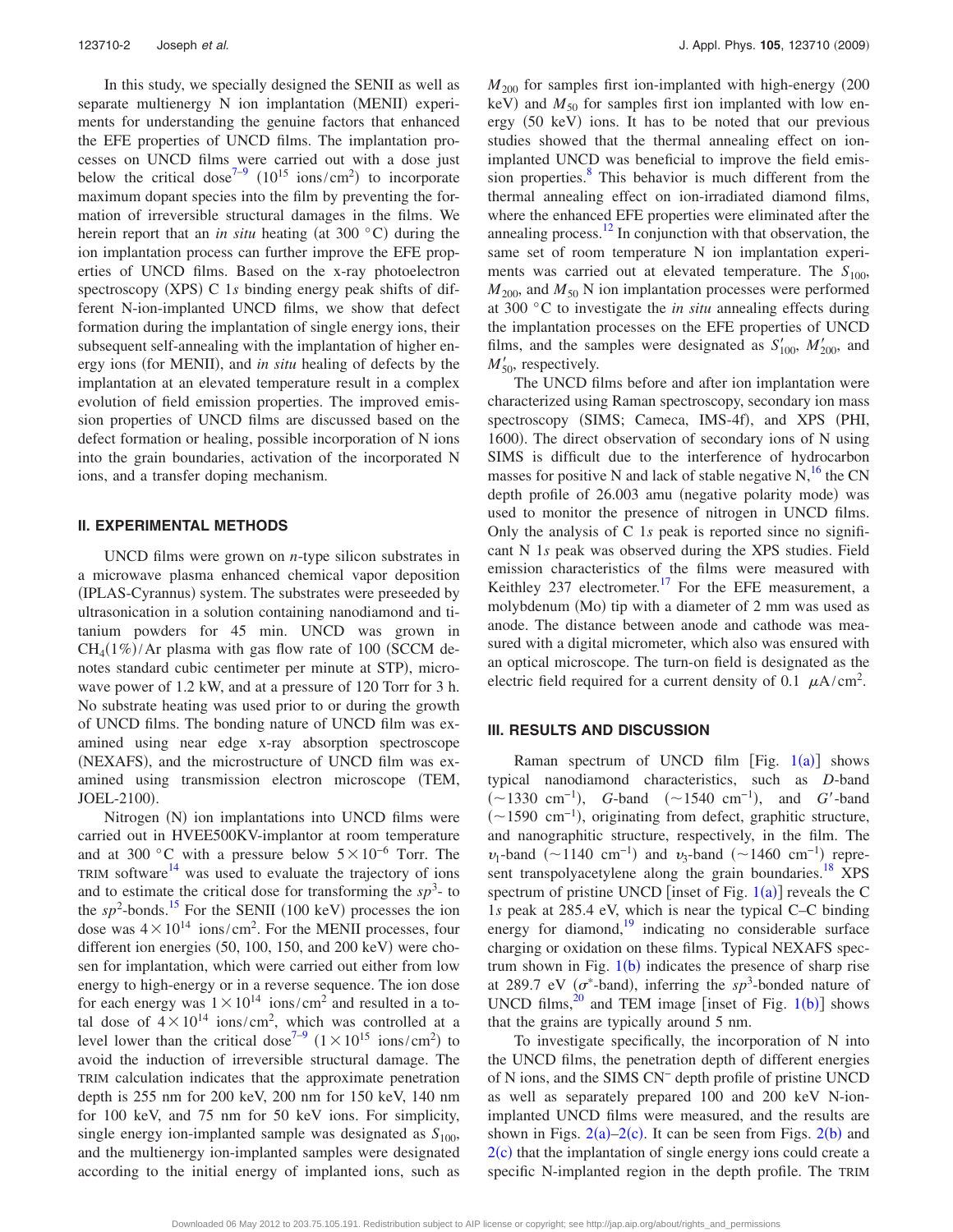In this study, we specially designed the SENII as well as separate multienergy N ion implantation (MENII) experiments for understanding the genuine factors that enhanced the EFE properties of UNCD films. The implantation processes on UNCD films were carried out with a dose just below the critical dose<sup>7-[9](#page-6-9)</sup> (10<sup>15</sup> ions/cm<sup>2</sup>) to incorporate maximum dopant species into the film by preventing the formation of irreversible structural damages in the films. We herein report that an *in situ* heating (at 300 °C) during the ion implantation process can further improve the EFE properties of UNCD films. Based on the x-ray photoelectron spectroscopy (XPS) C 1s binding energy peak shifts of different N-ion-implanted UNCD films, we show that defect formation during the implantation of single energy ions, their subsequent self-annealing with the implantation of higher energy ions (for MENII), and *in situ* healing of defects by the implantation at an elevated temperature result in a complex evolution of field emission properties. The improved emission properties of UNCD films are discussed based on the defect formation or healing, possible incorporation of N ions into the grain boundaries, activation of the incorporated N ions, and a transfer doping mechanism.

#### **II. EXPERIMENTAL METHODS**

UNCD films were grown on *n*-type silicon substrates in a microwave plasma enhanced chemical vapor deposition (IPLAS-Cyrannus) system. The substrates were preseeded by ultrasonication in a solution containing nanodiamond and titanium powders for 45 min. UNCD was grown in  $CH<sub>4</sub>(1%)/Ar$  plasma with gas flow rate of 100 (SCCM denotes standard cubic centimeter per minute at STP), microwave power of 1.2 kW, and at a pressure of 120 Torr for 3 h. No substrate heating was used prior to or during the growth of UNCD films. The bonding nature of UNCD film was examined using near edge x-ray absorption spectroscope (NEXAFS), and the microstructure of UNCD film was examined using transmission electron microscope TEM, JOEL-2100).

Nitrogen (N) ion implantations into UNCD films were carried out in HVEE500KV-implantor at room temperature and at 300 °C with a pressure below  $5\times10^{-6}$  Torr. The TRIM software $14$  was used to evaluate the trajectory of ions and to estimate the critical dose for transforming the  $sp<sup>3</sup>$ - to the  $sp^2$ -bonds.<sup>15</sup> For the SENII (100 keV) processes the ion dose was  $4 \times 10^{14}$  ions/cm<sup>2</sup>. For the MENII processes, four different ion energies  $(50, 100, 150,$  and  $200 \text{ keV})$  were chosen for implantation, which were carried out either from low energy to high-energy or in a reverse sequence. The ion dose for each energy was  $1 \times 10^{14}$  ions/cm<sup>2</sup> and resulted in a total dose of  $4 \times 10^{14}$  ions/cm<sup>2</sup>, which was controlled at a level lower than the critical dose<sup>7-9</sup>  $(1 \times 10^{15} \text{ ions/cm}^2)$  to avoid the induction of irreversible structural damage. The TRIM calculation indicates that the approximate penetration depth is 255 nm for 200 keV, 200 nm for 150 keV, 140 nm for 100 keV, and 75 nm for 50 keV ions. For simplicity, single energy ion-implanted sample was designated as  $S_{100}$ , and the multienergy ion-implanted samples were designated according to the initial energy of implanted ions, such as  $M<sub>200</sub>$  for samples first ion-implanted with high-energy (200 keV) and  $M_{50}$  for samples first ion implanted with low energy (50 keV) ions. It has to be noted that our previous studies showed that the thermal annealing effect on ionimplanted UNCD was beneficial to improve the field emission properties.<sup>8</sup> This behavior is much different from the thermal annealing effect on ion-irradiated diamond films, where the enhanced EFE properties were eliminated after the annealing process. $12$  In conjunction with that observation, the same set of room temperature N ion implantation experiments was carried out at elevated temperature. The  $S_{100}$ ,  $M_{200}$ , and  $M_{50}$  N ion implantation processes were performed at 300 °C to investigate the *in situ* annealing effects during the implantation processes on the EFE properties of UNCD films, and the samples were designated as  $S'_{100}$ ,  $M'_{200}$ , and  $M'_{50}$ , respectively.

The UNCD films before and after ion implantation were characterized using Raman spectroscopy, secondary ion mass spectroscopy (SIMS; Cameca, IMS-4f), and XPS (PHI, 1600). The direct observation of secondary ions of N using SIMS is difficult due to the interference of hydrocarbon masses for positive N and lack of stable negative  $N$ , <sup>16</sup> the CN depth profile of 26.003 amu (negative polarity mode) was used to monitor the presence of nitrogen in UNCD films. Only the analysis of C 1*s* peak is reported since no significant N 1*s* peak was observed during the XPS studies. Field emission characteristics of the films were measured with Keithley  $237$  electrometer.<sup>17</sup> For the EFE measurement, a molybdenum (Mo) tip with a diameter of 2 mm was used as anode. The distance between anode and cathode was measured with a digital micrometer, which also was ensured with an optical microscope. The turn-on field is designated as the electric field required for a current density of 0.1  $\mu$ A/cm<sup>2</sup>.

#### **III. RESULTS AND DISCUSSION**

Raman spectrum of UNCD film  $[Fig. 1(a)]$  $[Fig. 1(a)]$  $[Fig. 1(a)]$  shows typical nanodiamond characteristics, such as *D*-band (~1330 cm<sup>-1</sup>), *G*-band (~1540 cm<sup>-1</sup>), and *G*'-band (~1590 cm<sup>-1</sup>), originating from defect, graphitic structure, and nanographitic structure, respectively, in the film. The  $v_1$ -band (~1140 cm<sup>-1</sup>) and  $v_3$ -band (~1460 cm<sup>-1</sup>) represent transpolyacetylene along the grain boundaries.<sup>18</sup> XPS spectrum of pristine UNCD [inset of Fig.  $1(a)$  $1(a)$ ] reveals the C 1*s* peak at 285.4 eV, which is near the typical C–C binding energy for diamond, $\frac{19}{19}$  indicating no considerable surface charging or oxidation on these films. Typical NEXAFS spectrum shown in Fig.  $1(b)$  $1(b)$  indicates the presence of sharp rise at 289.7 eV ( $\sigma^*$ -band), inferring the *sp*<sup>3</sup>-bonded nature of UNCD films, $^{20}$  and TEM image [inset of Fig. 1([b](#page-3-0))] shows that the grains are typically around 5 nm.

To investigate specifically, the incorporation of N into the UNCD films, the penetration depth of different energies of N ions, and the SIMS CN− depth profile of pristine UNCD as well as separately prepared 100 and 200 keV N-ionimplanted UNCD films were measured, and the results are shown in Figs.  $2(a)-2(c)$  $2(a)-2(c)$ . It can be seen from Figs.  $2(b)$  and  $2(c)$  $2(c)$  that the implantation of single energy ions could create a specific N-implanted region in the depth profile. The TRIM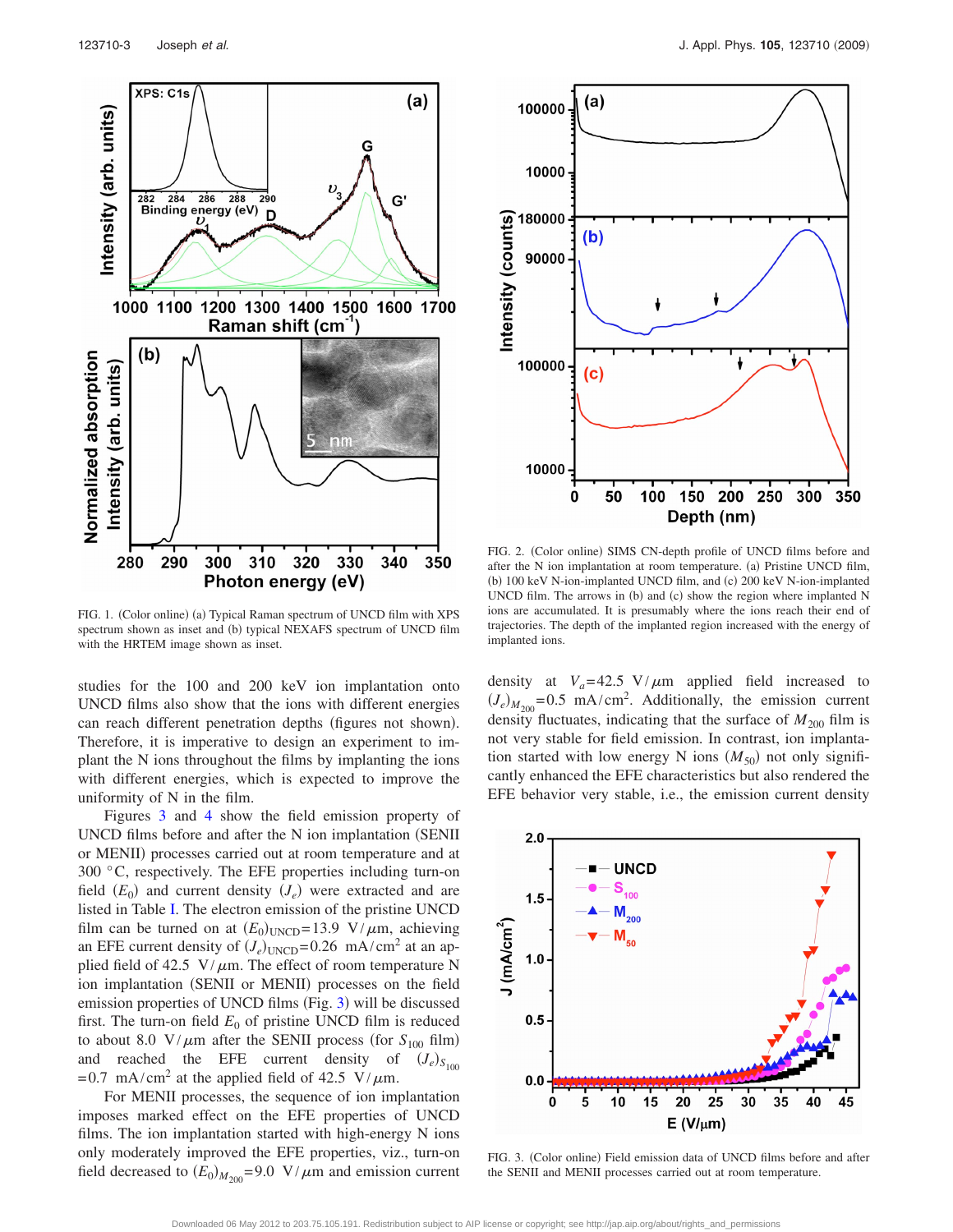<span id="page-3-0"></span>

FIG. 1. (Color online) (a) Typical Raman spectrum of UNCD film with XPS spectrum shown as inset and (b) typical NEXAFS spectrum of UNCD film with the HRTEM image shown as inset.

studies for the 100 and 200 keV ion implantation onto UNCD films also show that the ions with different energies can reach different penetration depths (figures not shown). Therefore, it is imperative to design an experiment to implant the N ions throughout the films by implanting the ions with different energies, which is expected to improve the uniformity of N in the film.

Figures [3](#page-3-2) and [4](#page-4-0) show the field emission property of  $UNCD$  films before and after the N ion implantation (SENII) or MENII) processes carried out at room temperature and at 300 °C, respectively. The EFE properties including turn-on field  $(E_0)$  and current density  $(J_e)$  were extracted and are listed in Table [I.](#page-4-1) The electron emission of the pristine UNCD film can be turned on at  $(E_0)_{\text{UNCD}} = 13.9 \text{ V}/\mu\text{m}$ , achieving an EFE current density of  $(J_e)_{\text{UNCD}} = 0.26 \text{ mA/cm}^2$  at an applied field of 42.5  $V/\mu$ m. The effect of room temperature N ion implantation (SENII or MENII) processes on the field emission properties of UNCD films (Fig. [3](#page-3-2)) will be discussed first. The turn-on field  $E_0$  of pristine UNCD film is reduced to about 8.0  $\frac{V}{\mu m}$  after the SENII process (for *S*<sub>100</sub> film) and reached the EFE current density of  $(J_e)_{S_{100}}$ =0.7 mA/cm<sup>2</sup> at the applied field of 42.5 V/ $\mu$ m.

For MENII processes, the sequence of ion implantation imposes marked effect on the EFE properties of UNCD films. The ion implantation started with high-energy N ions only moderately improved the EFE properties, viz., turn-on field decreased to  $(E_0)_{M_{200}} = 9.0 \text{ V}/\mu \text{m}$  and emission current

<span id="page-3-1"></span>

FIG. 2. (Color online) SIMS CN-depth profile of UNCD films before and after the N ion implantation at room temperature. (a) Pristine UNCD film, (b) 100 keV N-ion-implanted UNCD film, and (c) 200 keV N-ion-implanted UNCD film. The arrows in (b) and (c) show the region where implanted N ions are accumulated. It is presumably where the ions reach their end of trajectories. The depth of the implanted region increased with the energy of implanted ions.

density at  $V_a = 42.5 \text{ V}/\mu \text{m}$  applied field increased to  $(J_e)_{M_{200}} = 0.5 \text{ mA/cm}^2$ . Additionally, the emission current density fluctuates, indicating that the surface of  $M_{200}$  film is not very stable for field emission. In contrast, ion implantation started with low energy N ions  $(M_{50})$  not only significantly enhanced the EFE characteristics but also rendered the EFE behavior very stable, i.e., the emission current density

<span id="page-3-2"></span>

FIG. 3. (Color online) Field emission data of UNCD films before and after the SENII and MENII processes carried out at room temperature.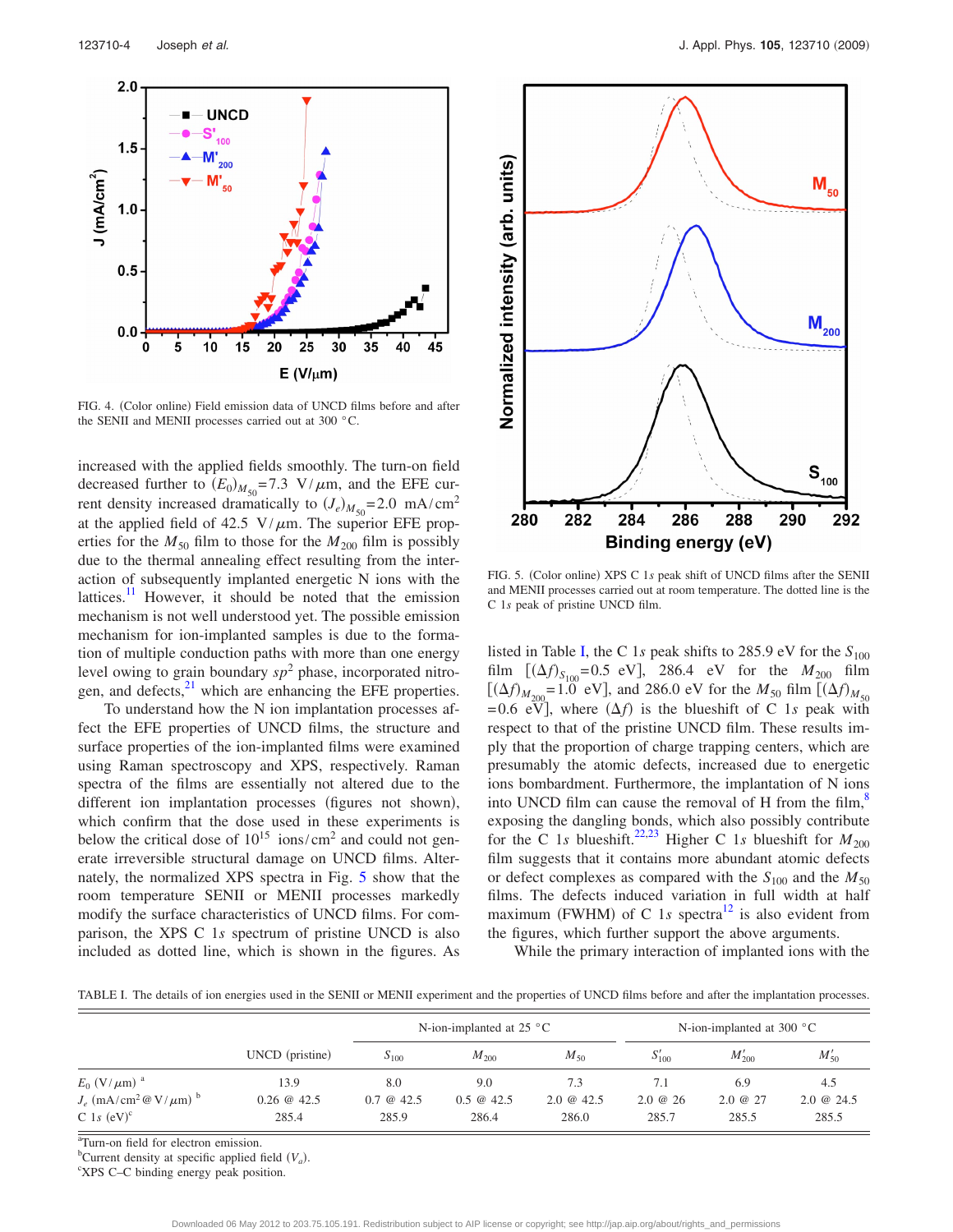<span id="page-4-0"></span>

FIG. 4. (Color online) Field emission data of UNCD films before and after the SENII and MENII processes carried out at 300 °C.

increased with the applied fields smoothly. The turn-on field decreased further to  $(E_0)_{M_{50}} = 7.3 \text{ V}/\mu\text{m}$ , and the EFE current density increased dramatically to  $(J_e)_{M_{50}} = 2.0 \text{ mA/cm}^2$ at the applied field of 42.5  $V/\mu$ m. The superior EFE properties for the  $M_{50}$  film to those for the  $M_{200}$  film is possibly due to the thermal annealing effect resulting from the interaction of subsequently implanted energetic N ions with the lattices. $\frac{11}{11}$  However, it should be noted that the emission mechanism is not well understood yet. The possible emission mechanism for ion-implanted samples is due to the formation of multiple conduction paths with more than one energy level owing to grain boundary *sp*<sup>2</sup> phase, incorporated nitrogen, and defects, $2<sup>1</sup>$  which are enhancing the EFE properties.

To understand how the N ion implantation processes affect the EFE properties of UNCD films, the structure and surface properties of the ion-implanted films were examined using Raman spectroscopy and XPS, respectively. Raman spectra of the films are essentially not altered due to the different ion implantation processes (figures not shown), which confirm that the dose used in these experiments is below the critical dose of  $10^{15}$  ions/cm<sup>2</sup> and could not generate irreversible structural damage on UNCD films. Alternately, the normalized XPS spectra in Fig. [5](#page-4-2) show that the room temperature SENII or MENII processes markedly modify the surface characteristics of UNCD films. For comparison, the XPS C 1*s* spectrum of pristine UNCD is also included as dotted line, which is shown in the figures. As

<span id="page-4-2"></span>

FIG. 5. (Color online) XPS C 1s peak shift of UNCD films after the SENII and MENII processes carried out at room temperature. The dotted line is the C 1*s* peak of pristine UNCD film.

listed in Table [I,](#page-4-1) the C 1s peak shifts to 285.9 eV for the  $S_{100}$ film  $[(\Delta f)_{S_{100}}=0.5 \text{ eV}]$ , 286.4 eV for the  $M_{200}$  film  $f(\Delta f)_{M_{200}} = 1.0$  eV], and 286.0 eV for the  $M_{50}$  film  $f(\Delta f)_{M_{50}}$  $= 0.6$  eV], where  $(\Delta f)$  is the blueshift of C 1*s* peak with respect to that of the pristine UNCD film. These results imply that the proportion of charge trapping centers, which are presumably the atomic defects, increased due to energetic ions bombardment. Furthermore, the implantation of N ions into UNCD film can cause the removal of H from the film, $\frac{8}{3}$ exposing the dangling bonds, which also possibly contribute for the C 1*s* blueshift.<sup>22,[23](#page-7-6)</sup> Higher C 1*s* blueshift for  $M_{200}$ film suggests that it contains more abundant atomic defects or defect complexes as compared with the  $S_{100}$  and the  $M_{50}$ films. The defects induced variation in full width at half maximum (FWHM) of C 1s spectra<sup>12</sup> is also evident from the figures, which further support the above arguments.

While the primary interaction of implanted ions with the

<span id="page-4-1"></span>TABLE I. The details of ion energies used in the SENII or MENII experiment and the properties of UNCD films before and after the implantation processes.

|                                                      | UNCD (pristine) | N-ion-implanted at 25 $^{\circ}$ C |                         |                   | N-ion-implanted at 300 $^{\circ}$ C |             |               |
|------------------------------------------------------|-----------------|------------------------------------|-------------------------|-------------------|-------------------------------------|-------------|---------------|
|                                                      |                 | $S_{100}$                          | $M_{200}$               | $M_{50}$          | $S'_{100}$                          | $M'_{200}$  | $M'_{50}$     |
| $E_0$ (V/ $\mu$ m) <sup>a</sup>                      | 13.9            | 8.0                                | 9.0                     | 7.3               | 7.1                                 | 6.9         | 4.5           |
| $J_e$ (mA/cm <sup>2</sup> @ V/ $\mu$ m) <sup>b</sup> | $0.26 \& 42.5$  | $0.7 \circledcirc 42.5$            | $0.5 \circledcirc 42.5$ | $2.0 \omega 42.5$ | $2.0 \& 26$                         | $2.0 \& 27$ | $2.0 \& 24.5$ |
| C 1s $(eV)^c$                                        | 285.4           | 285.9                              | 286.4                   | 286.0             | 285.7                               | 285.5       | 285.5         |

<sup>a</sup>Turn-on field for electron emission.

<sup>b</sup>Current density at specific applied field  $(V_a)$ .

XPS C–C binding energy peak position.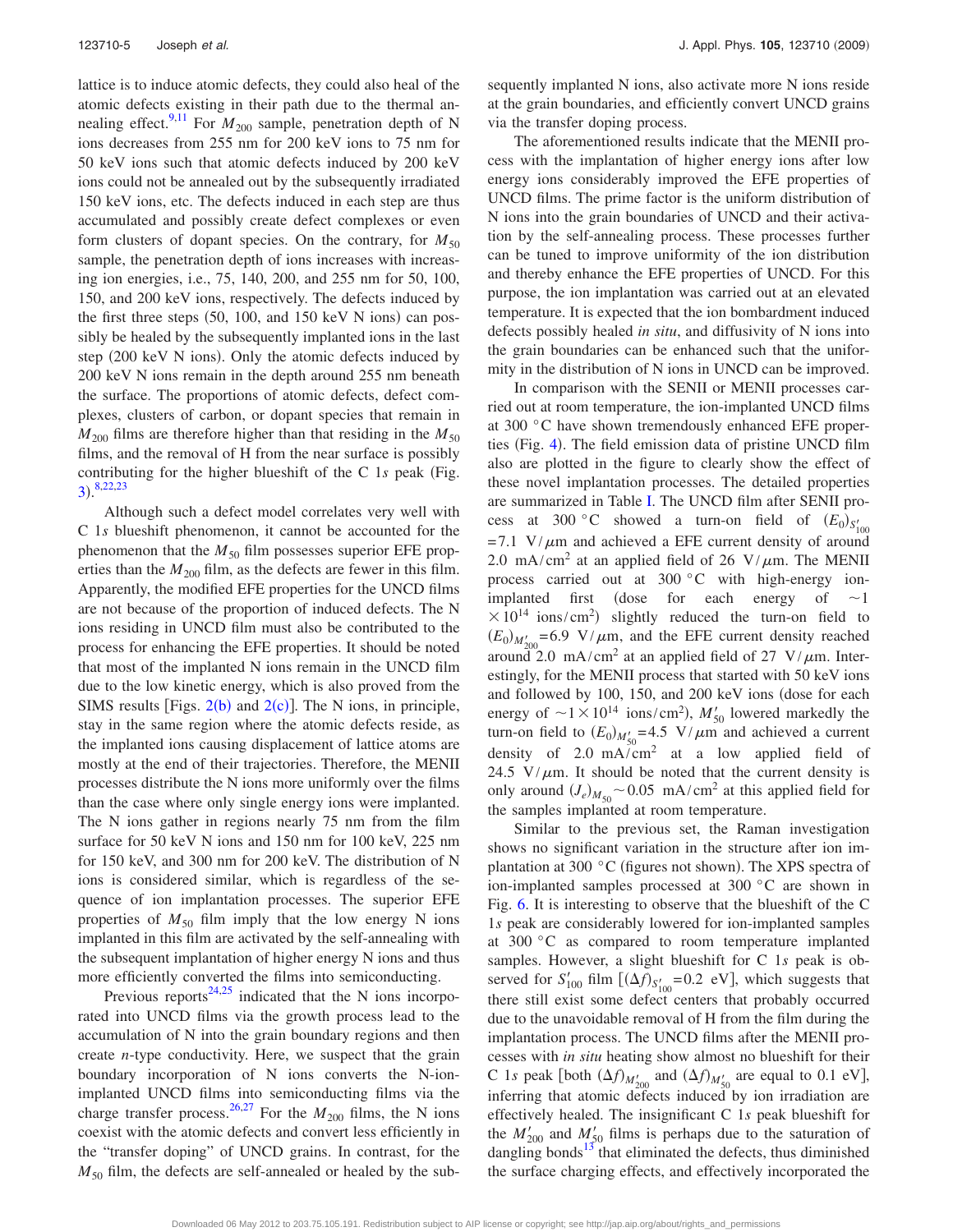lattice is to induce atomic defects, they could also heal of the atomic defects existing in their path due to the thermal an-nealing effect.<sup>9,[11](#page-6-7)</sup> For  $M_{200}$  sample, penetration depth of N ions decreases from 255 nm for 200 keV ions to 75 nm for 50 keV ions such that atomic defects induced by 200 keV ions could not be annealed out by the subsequently irradiated 150 keV ions, etc. The defects induced in each step are thus accumulated and possibly create defect complexes or even form clusters of dopant species. On the contrary, for  $M_{50}$ sample, the penetration depth of ions increases with increasing ion energies, i.e., 75, 140, 200, and 255 nm for 50, 100, 150, and 200 keV ions, respectively. The defects induced by the first three steps  $(50, 100,$  and  $150 \text{ keV} \text{ N}$  ions) can possibly be healed by the subsequently implanted ions in the last step (200 keV N ions). Only the atomic defects induced by 200 keV N ions remain in the depth around 255 nm beneath the surface. The proportions of atomic defects, defect complexes, clusters of carbon, or dopant species that remain in  $M_{200}$  films are therefore higher than that residing in the  $M_{50}$ films, and the removal of H from the near surface is possibly contributing for the higher blueshift of the C 1s peak (Fig.  $3).^{8,22,23}$  $3).^{8,22,23}$  $3).^{8,22,23}$  $3).^{8,22,23}$  $3).^{8,22,23}$  $3).^{8,22,23}$ 

Although such a defect model correlates very well with C 1*s* blueshift phenomenon, it cannot be accounted for the phenomenon that the  $M_{50}$  film possesses superior EFE properties than the  $M_{200}$  film, as the defects are fewer in this film. Apparently, the modified EFE properties for the UNCD films are not because of the proportion of induced defects. The N ions residing in UNCD film must also be contributed to the process for enhancing the EFE properties. It should be noted that most of the implanted N ions remain in the UNCD film due to the low kinetic energy, which is also proved from the SIMS results [Figs.  $2(b)$  $2(b)$  and  $2(c)$ ]. The N ions, in principle, stay in the same region where the atomic defects reside, as the implanted ions causing displacement of lattice atoms are mostly at the end of their trajectories. Therefore, the MENII processes distribute the N ions more uniformly over the films than the case where only single energy ions were implanted. The N ions gather in regions nearly 75 nm from the film surface for 50 keV N ions and 150 nm for 100 keV, 225 nm for 150 keV, and 300 nm for 200 keV. The distribution of N ions is considered similar, which is regardless of the sequence of ion implantation processes. The superior EFE properties of  $M_{50}$  film imply that the low energy N ions implanted in this film are activated by the self-annealing with the subsequent implantation of higher energy N ions and thus more efficiently converted the films into semiconducting.

Previous reports<sup>24[,25](#page-7-8)</sup> indicated that the N ions incorporated into UNCD films via the growth process lead to the accumulation of N into the grain boundary regions and then create *n*-type conductivity. Here, we suspect that the grain boundary incorporation of N ions converts the N-ionimplanted UNCD films into semiconducting films via the charge transfer process.<sup>26[,27](#page-7-10)</sup> For the  $M_{200}$  films, the N ions coexist with the atomic defects and convert less efficiently in the "transfer doping" of UNCD grains. In contrast, for the  $M_{50}$  film, the defects are self-annealed or healed by the subsequently implanted N ions, also activate more N ions reside at the grain boundaries, and efficiently convert UNCD grains via the transfer doping process.

The aforementioned results indicate that the MENII process with the implantation of higher energy ions after low energy ions considerably improved the EFE properties of UNCD films. The prime factor is the uniform distribution of N ions into the grain boundaries of UNCD and their activation by the self-annealing process. These processes further can be tuned to improve uniformity of the ion distribution and thereby enhance the EFE properties of UNCD. For this purpose, the ion implantation was carried out at an elevated temperature. It is expected that the ion bombardment induced defects possibly healed *in situ*, and diffusivity of N ions into the grain boundaries can be enhanced such that the uniformity in the distribution of N ions in UNCD can be improved.

In comparison with the SENII or MENII processes carried out at room temperature, the ion-implanted UNCD films at 300 °C have shown tremendously enhanced EFE proper-ties (Fig. [4](#page-4-0)). The field emission data of pristine UNCD film also are plotted in the figure to clearly show the effect of these novel implantation processes. The detailed properties are summarized in Table [I.](#page-4-1) The UNCD film after SENII process at 300 °C showed a turn-on field of  $(E_0)_{S'_{100}}$  $= 7.1$  V/ $\mu$ m and achieved a EFE current density of around 2.0 mA/cm<sup>2</sup> at an applied field of 26 V/ $\mu$ m. The MENII process carried out at 300 °C with high-energy ionimplanted first (dose for each energy of  $\sim$ 1)  $\times 10^{14}$  ions/cm<sup>2</sup>) slightly reduced the turn-on field to  $(E_0)_{M'_{200}} = 6.9 \text{ V}/\mu\text{m}$ , and the EFE current density reached around 2.0 mA/cm<sup>2</sup> at an applied field of 27 V/ $\mu$ m. Interestingly, for the MENII process that started with 50 keV ions and followed by 100, 150, and 200 keV ions (dose for each energy of  $\sim 1 \times 10^{14}$  ions/cm<sup>2</sup>),  $M'_{50}$  lowered markedly the turn-on field to  $(E_0)_{M'_{50}} = 4.5$  V/ $\mu$ m and achieved a current density of  $2.0 \text{ mA/cm}^2$  at a low applied field of 24.5  $V/\mu$ m. It should be noted that the current density is only around  $(J_e)_{M_{50}}$  ~ 0.05 mA/cm<sup>2</sup> at this applied field for the samples implanted at room temperature.

Similar to the previous set, the Raman investigation shows no significant variation in the structure after ion implantation at 300  $\degree$ C (figures not shown). The XPS spectra of ion-implanted samples processed at 300 °C are shown in Fig. [6.](#page-6-15) It is interesting to observe that the blueshift of the C 1*s* peak are considerably lowered for ion-implanted samples at 300 °C as compared to room temperature implanted samples. However, a slight blueshift for C 1*s* peak is observed for  $S'_{100}$  film  $[(\Delta f)_{S'_{100}} = 0.2$  eV], which suggests that there still exist some defect centers that probably occurred due to the unavoidable removal of H from the film during the implantation process. The UNCD films after the MENII processes with *in situ* heating show almost no blueshift for their C 1*s* peak [both  $(\Delta f)_{M'_{200}}$  and  $(\Delta f)_{M'_{50}}$  are equal to 0.1 eV], inferring that atomic defects induced by ion irradiation are effectively healed. The insignificant C 1*s* peak blueshift for the  $M'_{200}$  and  $M'_{50}$  films is perhaps due to the saturation of dangling bonds $13$  that eliminated the defects, thus diminished the surface charging effects, and effectively incorporated the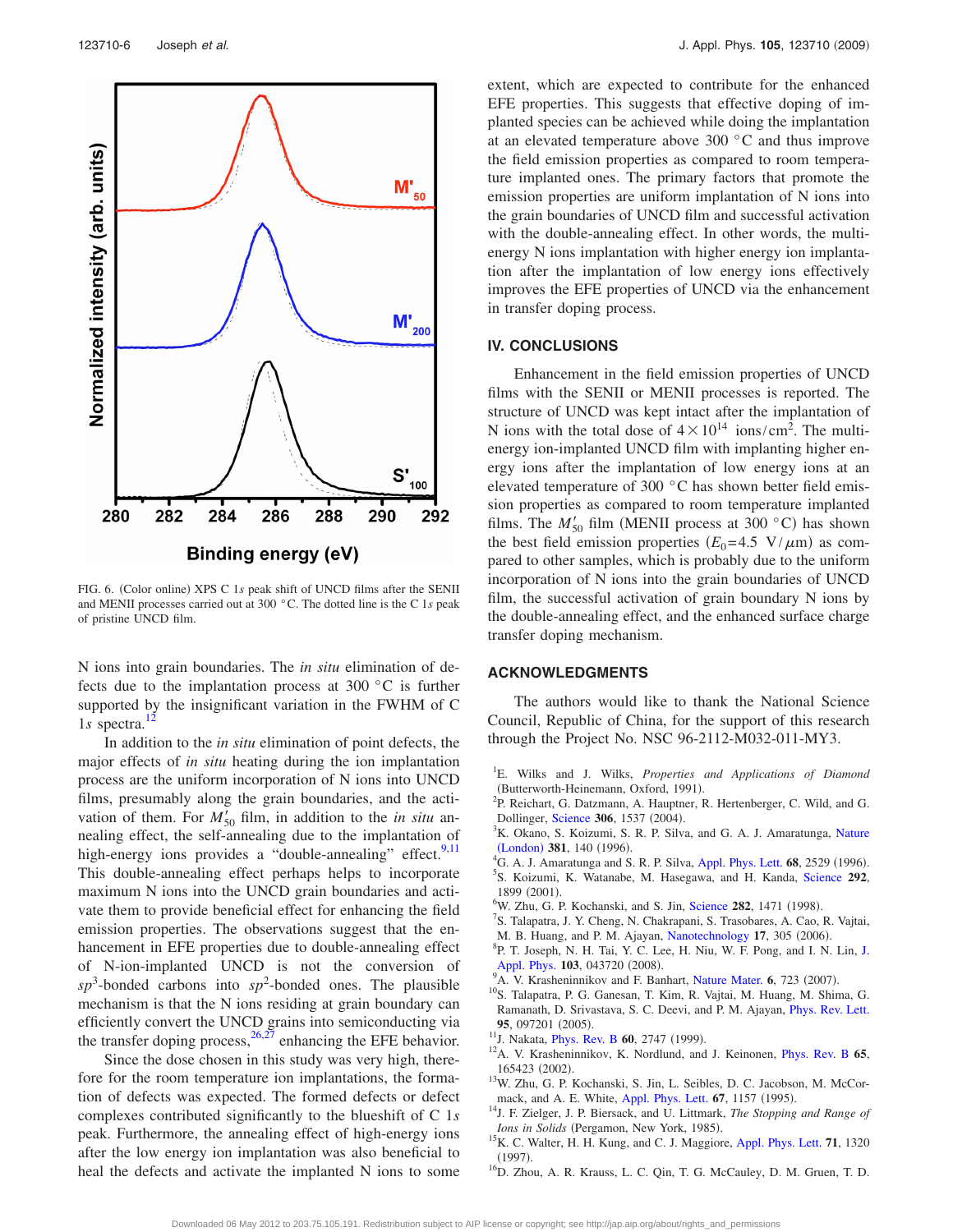<span id="page-6-15"></span>

FIG. 6. (Color online) XPS C 1s peak shift of UNCD films after the SENII and MENII processes carried out at 300 °C. The dotted line is the C 1*s* peak of pristine UNCD film.

N ions into grain boundaries. The *in situ* elimination of defects due to the implantation process at 300 °C is further supported by the insignificant variation in the FWHM of C 1*s* spectra.<sup>1</sup>

In addition to the *in situ* elimination of point defects, the major effects of *in situ* heating during the ion implantation process are the uniform incorporation of N ions into UNCD films, presumably along the grain boundaries, and the activation of them. For  $M'_{50}$  film, in addition to the *in situ* annealing effect, the self-annealing due to the implantation of high-energy ions provides a "double-annealing" effect.<sup>9,[11](#page-6-7)</sup> This double-annealing effect perhaps helps to incorporate maximum N ions into the UNCD grain boundaries and activate them to provide beneficial effect for enhancing the field emission properties. The observations suggest that the enhancement in EFE properties due to double-annealing effect of N-ion-implanted UNCD is not the conversion of  $sp^3$ -bonded carbons into  $sp^2$ -bonded ones. The plausible mechanism is that the N ions residing at grain boundary can efficiently convert the UNCD grains into semiconducting via the transfer doping process,  $^{26,27}$  $^{26,27}$  $^{26,27}$  enhancing the EFE behavior.

Since the dose chosen in this study was very high, therefore for the room temperature ion implantations, the formation of defects was expected. The formed defects or defect complexes contributed significantly to the blueshift of C 1*s* peak. Furthermore, the annealing effect of high-energy ions after the low energy ion implantation was also beneficial to heal the defects and activate the implanted N ions to some extent, which are expected to contribute for the enhanced EFE properties. This suggests that effective doping of implanted species can be achieved while doing the implantation at an elevated temperature above 300 °C and thus improve the field emission properties as compared to room temperature implanted ones. The primary factors that promote the emission properties are uniform implantation of N ions into the grain boundaries of UNCD film and successful activation with the double-annealing effect. In other words, the multienergy N ions implantation with higher energy ion implantation after the implantation of low energy ions effectively improves the EFE properties of UNCD via the enhancement in transfer doping process.

#### **IV. CONCLUSIONS**

Enhancement in the field emission properties of UNCD films with the SENII or MENII processes is reported. The structure of UNCD was kept intact after the implantation of N ions with the total dose of  $4 \times 10^{14}$  ions/cm<sup>2</sup>. The multienergy ion-implanted UNCD film with implanting higher energy ions after the implantation of low energy ions at an elevated temperature of 300 °C has shown better field emission properties as compared to room temperature implanted films. The  $M'_{50}$  film (MENII process at 300 °C) has shown the best field emission properties  $(E_0=4.5 \text{ V}/\mu\text{m})$  as compared to other samples, which is probably due to the uniform incorporation of N ions into the grain boundaries of UNCD film, the successful activation of grain boundary N ions by the double-annealing effect, and the enhanced surface charge transfer doping mechanism.

#### **ACKNOWLEDGMENTS**

The authors would like to thank the National Science Council, Republic of China, for the support of this research through the Project No. NSC 96-2112-M032-011-MY3.

- <span id="page-6-0"></span>1 E. Wilks and J. Wilks, *Properties and Applications of Diamond*  $B$ <sup>2</sup>D Beighert *C* Determann, Oxford, 1991).
- <span id="page-6-1"></span><sup>2</sup>P. Reichart, G. Datzmann, A. Hauptner, R. Hertenberger, C. Wild, and G. **Dollinger, [Science](http://dx.doi.org/10.1126/science.1102910) 306, 1537 (2004).**<br><sup>3</sup>K Okano S Koizumi, S B B Silve
- <span id="page-6-4"></span><sup>3</sup>K. Okano, S. Koizumi, S. R. P. Silva, and G. A. J. Amaratunga, [Nature](http://dx.doi.org/10.1038/381140a0)  $(London)$  $(London)$  $(London)$  **381**, 140 (1996).
- <sup>4</sup>G. A. J. Amaratunga and S. R. P. Silva, [Appl. Phys. Lett.](http://dx.doi.org/10.1063/1.116173) **68**, 2529 (1996).
- <span id="page-6-2"></span>S. Koizumi, K. Watanabe, M. Hasegawa, and H. Kanda, [Science](http://dx.doi.org/10.1126/science.1060258) **292**,  $^{1899}$  (2001).
- <span id="page-6-3"></span><sup>6</sup>W. Zhu, G. P. Kochanski, and S. Jin, [Science](http://dx.doi.org/10.1126/science.282.5393.1471) 282, 1471 (1998).<br><sup>7</sup>S. Telepatra, J. *Y. Chang, N. Chakranani, S. Trasphares*, A. Geo.
- <span id="page-6-5"></span><sup>7</sup>S. Talapatra, J. Y. Cheng, N. Chakrapani, S. Trasobares, A. Cao, R. Vajtai,
- <span id="page-6-11"></span>M. B. Huang, and P. M. Ajayan, [Nanotechnology](http://dx.doi.org/10.1088/0957-4484/17/1/052) 17, 305 (2006). <sup>8</sup>P. T. Joseph, N. H. Tai, Y. C. Lee, H. Niu, W. F. Pong, and I. N. Lin, [J.](http://dx.doi.org/10.1063/1.2885348)
- <span id="page-6-9"></span>[Appl. Phys.](http://dx.doi.org/10.1063/1.2885348)  $103$ , 043720 (2008). <sup>9</sup>A. V. Krasheninnikov and F. Banhart, [Nature Mater.](http://dx.doi.org/10.1038/nmat1996) 6, 723 (2007).
- <span id="page-6-6"></span><sup>10</sup>S. Talapatra, P. G. Ganesan, T. Kim, R. Vajtai, M. Huang, M. Shima, G. Ramanath, D. Srivastava, S. C. Deevi, and P. M. Ajayan, [Phys. Rev. Lett.](http://dx.doi.org/10.1103/PhysRevLett.95.097201) 95, 097201 (2005).
- <span id="page-6-7"></span><sup>11</sup>J. Nakata, *[Phys. Rev. B](http://dx.doi.org/10.1103/PhysRevB.60.2747)* 60, 2747 (1999).
- <span id="page-6-8"></span><sup>12</sup>A. V. Krasheninnikov, K. Nordlund, and J. Keinonen, *[Phys. Rev. B](http://dx.doi.org/10.1103/PhysRevB.65.165423)* 65, 165423 (2002).
- <span id="page-6-10"></span><sup>13</sup>W. Zhu, G. P. Kochanski, S. Jin, L. Seibles, D. C. Jacobson, M. McCor-mack, and A. E. White, [Appl. Phys. Lett.](http://dx.doi.org/10.1063/1.114993) **67**, 1157 (1995).
- <span id="page-6-12"></span>. 14J. F. Zielger, J. P. Biersack, and U. Littmark, *The Stopping and Range of* Ions in Solids (Pergamon, New York, 1985).
- <span id="page-6-13"></span><sup>15</sup>K. C. Walter, H. H. Kung, and C. J. Maggiore, [Appl. Phys. Lett.](http://dx.doi.org/10.1063/1.119883) **71**, 1320  $(1997)$ .
- <span id="page-6-14"></span><sup>16</sup>D. Zhou, A. R. Krauss, L. C. Qin, T. G. McCauley, D. M. Gruen, T. D.